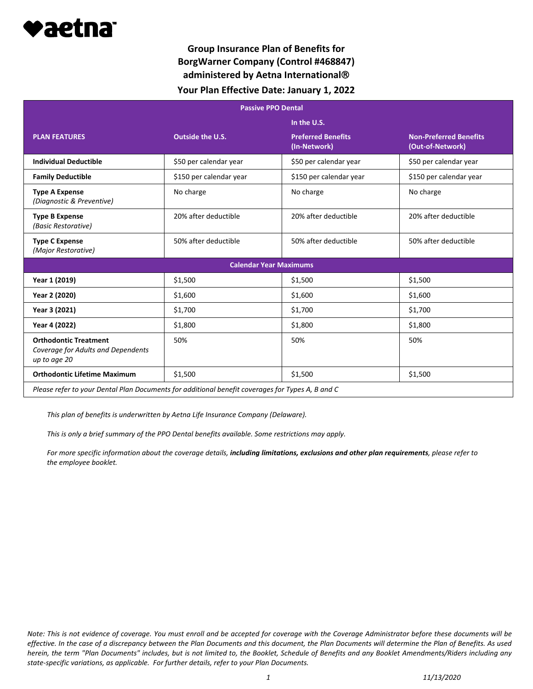

## **Group Insurance Plan of Benefits for BorgWarner Company (Control #468847) administered by Aetna International Your Plan Effective Date: January 1, 2022**

| <b>Passive PPO Dental</b>                                                                        |                         |                                           |                                                   |
|--------------------------------------------------------------------------------------------------|-------------------------|-------------------------------------------|---------------------------------------------------|
|                                                                                                  |                         | In the U.S.                               |                                                   |
| <b>PLAN FEATURES</b>                                                                             | Outside the U.S.        | <b>Preferred Benefits</b><br>(In-Network) | <b>Non-Preferred Benefits</b><br>(Out-of-Network) |
| <b>Individual Deductible</b>                                                                     | \$50 per calendar year  | \$50 per calendar year                    | \$50 per calendar year                            |
| <b>Family Deductible</b>                                                                         | \$150 per calendar year | \$150 per calendar year                   | \$150 per calendar year                           |
| <b>Type A Expense</b><br>(Diagnostic & Preventive)                                               | No charge               | No charge                                 | No charge                                         |
| <b>Type B Expense</b><br>(Basic Restorative)                                                     | 20% after deductible    | 20% after deductible                      | 20% after deductible                              |
| <b>Type C Expense</b><br>(Major Restorative)                                                     | 50% after deductible    | 50% after deductible                      | 50% after deductible                              |
| <b>Calendar Year Maximums</b>                                                                    |                         |                                           |                                                   |
| Year 1 (2019)                                                                                    | \$1,500                 | \$1,500                                   | \$1,500                                           |
| Year 2 (2020)                                                                                    | \$1,600                 | \$1,600                                   | \$1,600                                           |
| Year 3 (2021)                                                                                    | \$1,700                 | \$1,700                                   | \$1,700                                           |
| Year 4 (2022)                                                                                    | \$1,800                 | \$1,800                                   | \$1,800                                           |
| <b>Orthodontic Treatment</b><br>Coverage for Adults and Dependents<br>up to age 20               | 50%                     | 50%                                       | 50%                                               |
| <b>Orthodontic Lifetime Maximum</b>                                                              | \$1,500                 | \$1,500                                   | \$1,500                                           |
| Please refer to your Dental Plan Documents for additional benefit coverages for Types A, B and C |                         |                                           |                                                   |

*This plan of benefits is underwritten by Aetna Life Insurance Company (Delaware).*

*This is only a brief summary of the PPO Dental benefits available. Some restrictions may apply.*

*For more specific information about the coverage details, including limitations, exclusions and other plan requirements, please refer to the employee booklet.*

*Note: This is not evidence of coverage. You must enroll and be accepted for coverage with the Coverage Administrator before these documents will be effective. In the case of a discrepancy between the Plan Documents and this document, the Plan Documents will determine the Plan of Benefits. As used herein, the term "Plan Documents" includes, but is not limited to, the Booklet, Schedule of Benefits and any Booklet Amendments/Riders including any state-specific variations, as applicable. For further details, refer to your Plan Documents.*